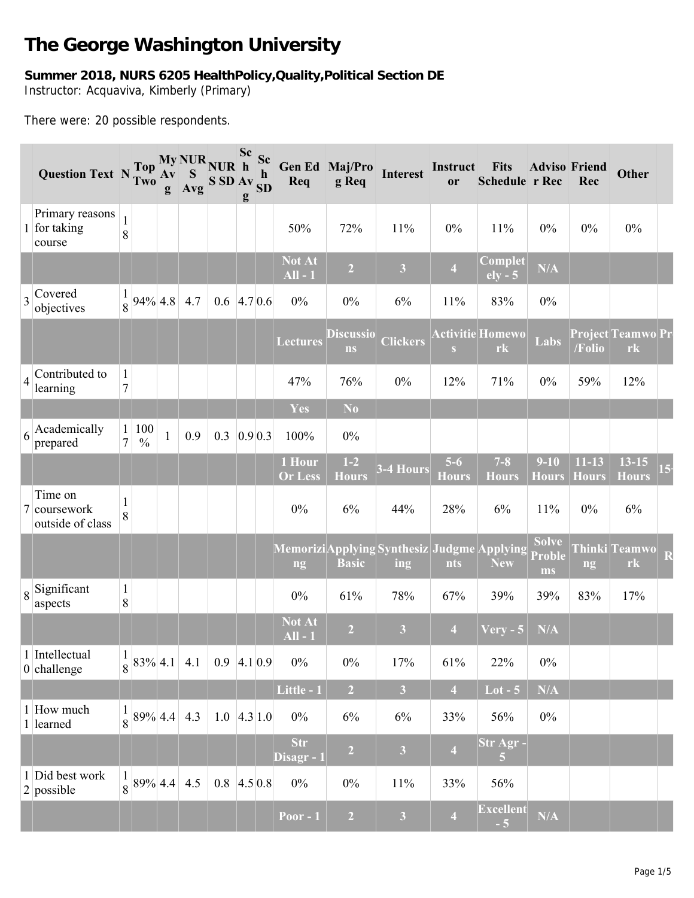## **The George Washington University**

## **Summer 2018, NURS 6205 HealthPolicy,Quality,Political Section DE** Instructor: Acquaviva, Kimberly (Primary)

There were: 20 possible respondents.

|                | Question Text N Two                         |                                  |                           | $A\mathbf{v}$<br>g | S<br>Avg | My NUR NUR h<br>SSDAV <sub>SD</sub>   | Sc Sc<br>g | $\mathbf h$ | Req                                              | Gen Ed Maj/Pro<br>g Req | <b>Interest</b>         | Instruct<br>or          | <b>Fits</b><br>Schedule r Rec | <b>Adviso Friend</b>                | Rec                       | <b>Other</b>                    |
|----------------|---------------------------------------------|----------------------------------|---------------------------|--------------------|----------|---------------------------------------|------------|-------------|--------------------------------------------------|-------------------------|-------------------------|-------------------------|-------------------------------|-------------------------------------|---------------------------|---------------------------------|
|                | Primary reasons<br>1 for taking<br>course   | $\mathbf{1}$<br>8                |                           |                    |          |                                       |            |             | 50%                                              | 72%                     | 11%                     | $0\%$                   | 11%                           | 0%                                  | $0\%$                     | $0\%$                           |
|                |                                             |                                  |                           |                    |          |                                       |            |             | <b>Not At</b><br>$All - 1$                       | $\overline{2}$          | $\overline{\mathbf{3}}$ | $\overline{4}$          | Complet<br>$ely - 5$          | N/A                                 |                           |                                 |
|                | $\frac{1}{3}$ Covered<br>objectives         | $\mathbf{1}$                     | $\frac{1}{8}$ 94% 4.8 4.7 |                    |          | $0.6$ 4.7 0.6                         |            |             | $0\%$                                            | $0\%$                   | 6%                      | 11%                     | 83%                           | $0\%$                               |                           |                                 |
|                |                                             |                                  |                           |                    |          |                                       |            |             | <b>Lectures</b>                                  | <b>Discussio</b><br>ns  | <b>Clickers</b>         | S                       | <b>Activitie Homewo</b><br>rk | Labs                                | /Folio                    | Project Teamwo Pr<br>rk         |
| $\overline{4}$ | Contributed to<br>learning                  | $\mathbf{1}$<br>$\boldsymbol{7}$ |                           |                    |          |                                       |            |             | 47%                                              | 76%                     | $0\%$                   | 12%                     | 71%                           | $0\%$                               | 59%                       | 12%                             |
|                |                                             |                                  |                           |                    |          |                                       |            |             | Yes                                              | N <sub>o</sub>          |                         |                         |                               |                                     |                           |                                 |
| 6              | Academically<br>prepared                    | $\mathbf{1}$<br>$\tau$           | 100<br>$\frac{0}{0}$      | $\mathbf{1}$       | 0.9      | 0.3                                   | 0.9 0.3    |             | 100%                                             | $0\%$                   |                         |                         |                               |                                     |                           |                                 |
|                |                                             |                                  |                           |                    |          |                                       |            |             | 1 Hour<br><b>Or Less</b>                         | $1-2$<br><b>Hours</b>   | $3-4$ Hours             | $5-6$<br><b>Hours</b>   | $7 - 8$<br><b>Hours</b>       | $9-10$<br><b>Hours</b>              | $11 - 13$<br><b>Hours</b> | $13 - 15$<br><b>Hours</b>       |
|                | Time on<br>7 coursework<br>outside of class | $\mathbf{1}$<br>8                |                           |                    |          |                                       |            |             | $0\%$                                            | 6%                      | 44%                     | 28%                     | 6%                            | 11%                                 | $0\%$                     | 6%                              |
|                |                                             |                                  |                           |                    |          |                                       |            |             | MemoriziApplying Synthesiz Judgme Applying<br>ng | <b>Basic</b>            | ing                     | nts                     | <b>New</b>                    | <b>Solve</b><br><b>Proble</b><br>ms | ng                        | Thinki Teamwo<br>r <sub>k</sub> |
|                | $\frac{1}{8}$ Significant<br>aspects        | $\mathbf{1}$<br>$8\,$            |                           |                    |          |                                       |            |             | $0\%$                                            | 61%                     | 78%                     | 67%                     | 39%                           | 39%                                 | 83%                       | 17%                             |
|                |                                             |                                  |                           |                    |          |                                       |            |             | <b>Not At</b><br>$All - 1$                       | $\overline{2}$          | $\overline{\mathbf{3}}$ | $\overline{4}$          | $Very - 5$                    | $\overline{\text{N/A}}$             |                           |                                 |
|                | 1 Intellectual<br>$0$ challenge             | $\mathbf{1}$                     |                           |                    |          | $\frac{1}{8}$ 83% 4.1 4.1 0.9 4.1 0.9 |            |             | $0\%$                                            | $0\%$                   | 17%                     | 61%                     | 22%                           | $0\%$                               |                           |                                 |
|                |                                             |                                  |                           |                    |          |                                       |            |             | Little - 1                                       | $\overline{2}$          | $\overline{\mathbf{3}}$ | $\overline{4}$          | $Lot - 5$                     | N/A                                 |                           |                                 |
|                | 1 How much<br>1 learned                     |                                  | $\frac{1}{8}$ 89% 4.4 4.3 |                    |          | $1.0 \, 4.3 \, 1.0$                   |            |             | $0\%$                                            | $6\%$                   | 6%                      | 33%                     | 56%                           | $0\%$                               |                           |                                 |
|                |                                             |                                  |                           |                    |          |                                       |            |             | <b>Str</b><br>Disagr - 1                         | $\overline{2}$          | $\overline{\mathbf{3}}$ | $\overline{\mathbf{4}}$ | Str Agr -<br>$\overline{5}$   |                                     |                           |                                 |
|                | 1 Did best work<br>$2$ possible             | 1                                | $\frac{1}{8}$ 89% 4.4 4.5 |                    |          | $0.8$ 4.5 0.8                         |            |             | $0\%$                                            | $0\%$                   | 11%                     | 33%                     | 56%                           |                                     |                           |                                 |
|                |                                             |                                  |                           |                    |          |                                       |            |             | Poor - $1$                                       | $\overline{2}$          | $\overline{\mathbf{3}}$ | $\overline{\mathbf{4}}$ | <b>Excellent</b><br>$-5$      | $\mathbf{N}/\mathbf{A}$             |                           |                                 |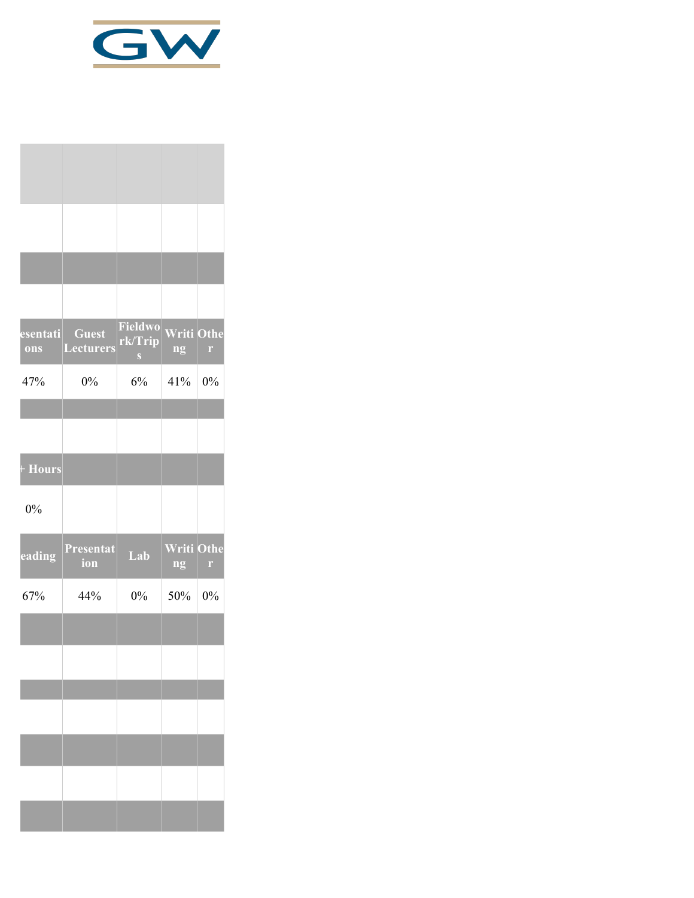

| esentati<br>ons | <b>Guest</b><br><b>Lecturers</b> | Fieldwo<br>rk/Trip<br>$\mathbf{S}$ | <b>Writi Othe</b><br>ng | $\Gamma$ |
|-----------------|----------------------------------|------------------------------------|-------------------------|----------|
| 47%             | $0\%$                            | 6%                                 | 41%                     | 0%       |
|                 |                                  |                                    |                         |          |
|                 |                                  |                                    |                         |          |
| + Hours         |                                  |                                    |                         |          |
| 0%              |                                  |                                    |                         |          |
| eading          | Presentat<br>ion                 | Lab                                | <b>Writi Othe</b><br>ng | r        |
| 67%             | 44%                              | $0\%$                              | 50%                     | $0\%$    |
|                 |                                  |                                    |                         |          |
|                 |                                  |                                    |                         |          |
|                 |                                  |                                    |                         |          |
|                 |                                  |                                    |                         |          |
|                 |                                  |                                    |                         |          |
|                 |                                  |                                    |                         |          |
|                 |                                  |                                    |                         |          |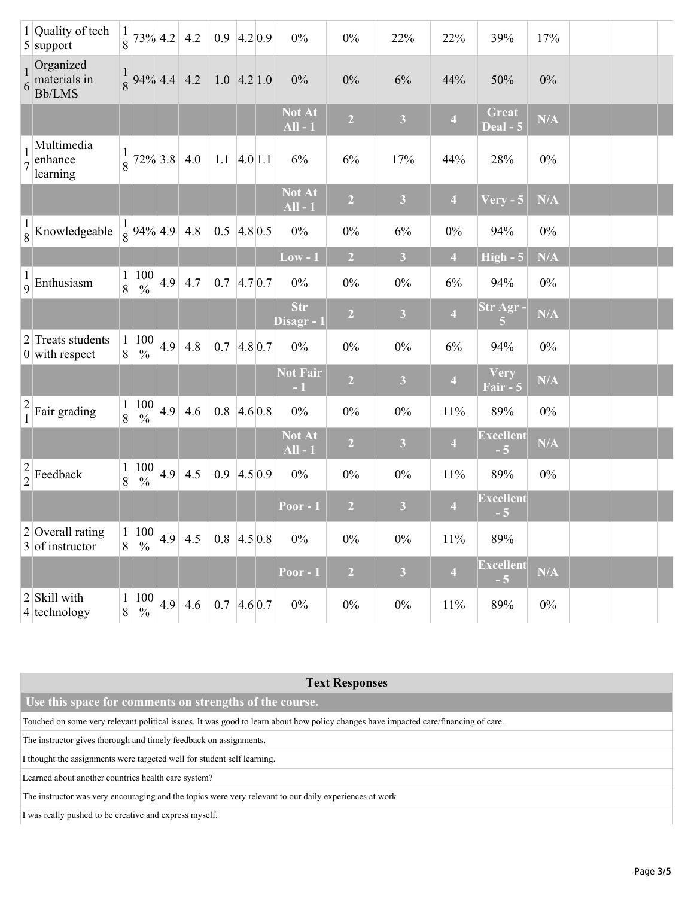|               | 1 Quality of tech<br>$5$ support                  | 8                 |                           |     | $73\%$ 4.2 4.2                                         | $0.9$ 4.2 0.9       |         | $0\%$                      | $0\%$          | 22%                     | 22%                     | 39%                      | 17%   |  |
|---------------|---------------------------------------------------|-------------------|---------------------------|-----|--------------------------------------------------------|---------------------|---------|----------------------------|----------------|-------------------------|-------------------------|--------------------------|-------|--|
|               | Organized<br>$\frac{1}{6}$ materials in<br>Bb/LMS |                   | $\frac{1}{8}$ 94% 4.4 4.2 |     |                                                        | $1.0$ 4.2 1.0       |         | 0%                         | $0\%$          | 6%                      | 44%                     | 50%                      | $0\%$ |  |
|               |                                                   |                   |                           |     |                                                        |                     |         | <b>Not At</b><br>$All - 1$ | $\overline{2}$ | $\overline{\mathbf{3}}$ | $\overline{\mathbf{4}}$ | <b>Great</b><br>Deal - 5 | N/A   |  |
|               | Multimedia<br>enhance<br>learning                 | $\overline{8}$    |                           |     | $72\%$ 3.8 4.0                                         | $1.1 \, 4.0 \, 1.1$ |         | 6%                         | 6%             | 17%                     | 44%                     | 28%                      | $0\%$ |  |
|               |                                                   |                   |                           |     |                                                        |                     |         | <b>Not At</b><br>$All - 1$ | $\overline{2}$ | $\mathbf{3}$            | $\overline{4}$          | $V$ ery - 5              | N/A   |  |
|               | $\frac{1}{8}$ Knowledgeable                       |                   | $\frac{1}{8}$ 94% 4.9 4.8 |     |                                                        | $0.5$ 4.8 0.5       |         | $0\%$                      | $0\%$          | 6%                      | $0\%$                   | 94%                      | $0\%$ |  |
|               |                                                   |                   |                           |     |                                                        |                     |         | $Low - 1$                  | $\overline{2}$ | 3                       | $\overline{4}$          | $High - 5$               | N/A   |  |
|               | $\frac{1}{9}$ Enthusiasm                          | 8                 | 1 100<br>$\frac{0}{0}$    |     | 4.9 $4.7$                                              | $0.7$ 4.7 0.7       |         | $0\%$                      | $0\%$          | $0\%$                   | 6%                      | 94%                      | $0\%$ |  |
|               |                                                   |                   |                           |     |                                                        |                     |         | <b>Str</b><br>Disagr - 1   | $\overline{2}$ | $\mathbf{3}$            | $\overline{\mathbf{4}}$ | Str Agr -<br>5           | N/A   |  |
|               | 2 Treats students<br>$0$ with respect             | 8                 | 1 100<br>$\frac{0}{0}$    | 4.9 | 4.8                                                    | 0.7                 | 4.80.7  | $0\%$                      | $0\%$          | $0\%$                   | 6%                      | 94%                      | $0\%$ |  |
|               |                                                   |                   |                           |     |                                                        |                     |         | <b>Not Fair</b><br>$-1$    | $\overline{2}$ | $\overline{\mathbf{3}}$ | $\overline{\mathbf{4}}$ | Very<br>Fair - 5         | N/A   |  |
| $\frac{2}{1}$ | Fair grading                                      | $\mathbf{1}$<br>8 | $\frac{100}{\%}$          | 4.9 | 4.6                                                    | $0.8$ 4.6 0.8       |         | $0\%$                      | $0\%$          | $0\%$                   | 11%                     | 89%                      | $0\%$ |  |
|               |                                                   |                   |                           |     |                                                        |                     |         | Not At<br>$All - 1$        | $\overline{2}$ | $\overline{\mathbf{3}}$ | $\overline{\mathbf{4}}$ | <b>Excellent</b><br>$-5$ | N/A   |  |
|               | $\frac{2}{2}$ Feedback                            | 8                 | $\frac{100}{\%}$          | 4.9 | 4.5                                                    | 0.9                 | 4.5 0.9 | $0\%$                      | $0\%$          | $0\%$                   | 11%                     | 89%                      | $0\%$ |  |
|               |                                                   |                   |                           |     |                                                        |                     |         | <b>Poor - 1</b>            | $\overline{2}$ | $\overline{\mathbf{3}}$ | $\overline{\mathbf{4}}$ | <b>Excellent</b><br>$-5$ |       |  |
|               | $2$ Overall rating<br>3 of instructor             |                   |                           |     | 1 100 4.9 4.5                                          | $0.8$ 4.5 0.8       |         | $0\%$                      | $0\%$          | $0\%$                   | 11%                     | 89%                      |       |  |
|               |                                                   |                   |                           |     |                                                        |                     |         | Poor - $1$                 | $\overline{2}$ | $\mathbf{3}$            | $\overline{\mathbf{4}}$ | <b>Excellent</b><br>$-5$ | N/A   |  |
|               | 2 Skill with<br>4 technology                      | $\mathbf{1}$<br>8 | $\%$                      |     | $\left  \frac{100}{26} \right  4.9 \left  4.6 \right $ | $0.7$ 4.6 0.7       |         | $0\%$                      | $0\%$          | $0\%$                   | 11%                     | 89%                      | $0\%$ |  |

## **Text Responses**

 **Use this space for comments on strengths of the course.**

Touched on some very relevant political issues. It was good to learn about how policy changes have impacted care/financing of care.

The instructor gives thorough and timely feedback on assignments.

I thought the assignments were targeted well for student self learning.

Learned about another countries health care system?

The instructor was very encouraging and the topics were very relevant to our daily experiences at work

I was really pushed to be creative and express myself.